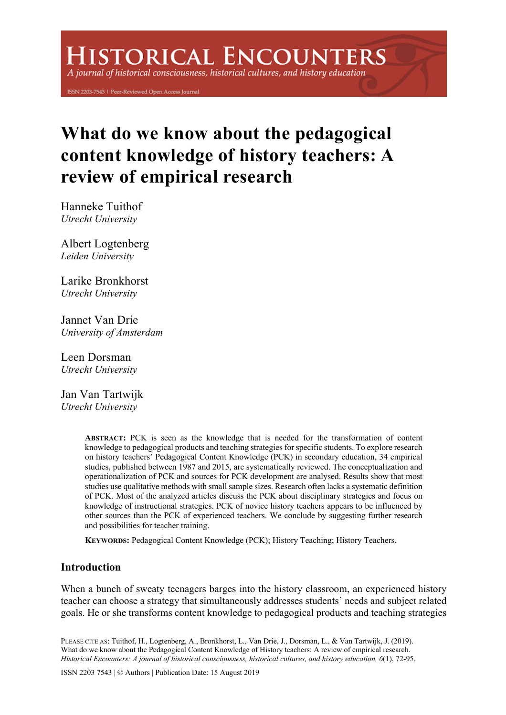# **ISTORICAL ENCOUNTERS**

A journal of historical consciousness, historical cultures, and history education

ISSN 2203-7543 | Peer-Reviewed Open Access Journal

## **What do we know about the pedagogical content knowledge of history teachers: A review of empirical research**

Hanneke Tuithof *Utrecht University*

Albert Logtenberg *Leiden University*

Larike Bronkhorst *Utrecht University*

Jannet Van Drie *University of Amsterdam*

Leen Dorsman *Utrecht University*

Jan Van Tartwijk *Utrecht University*

> **ABSTRACT:** PCK is seen as the knowledge that is needed for the transformation of content knowledge to pedagogical products and teaching strategies for specific students. To explore research on history teachers' Pedagogical Content Knowledge (PCK) in secondary education, 34 empirical studies, published between 1987 and 2015, are systematically reviewed. The conceptualization and operationalization of PCK and sources for PCK development are analysed. Results show that most studies use qualitative methods with small sample sizes. Research often lacks a systematic definition of PCK. Most of the analyzed articles discuss the PCK about disciplinary strategies and focus on knowledge of instructional strategies. PCK of novice history teachers appears to be influenced by other sources than the PCK of experienced teachers. We conclude by suggesting further research and possibilities for teacher training.

**KEYWORDS:** Pedagogical Content Knowledge (PCK); History Teaching; History Teachers.

## **Introduction**

When a bunch of sweaty teenagers barges into the history classroom, an experienced history teacher can choose a strategy that simultaneously addresses students' needs and subject related goals. He or she transforms content knowledge to pedagogical products and teaching strategies

PLEASE CITE AS: Tuithof, H., Logtenberg, A., Bronkhorst, L., Van Drie, J., Dorsman, L., & Van Tartwijk, J. (2019). What do we know about the Pedagogical Content Knowledge of History teachers: A review of empirical research. *Historical Encounters: A journal of historical consciousness, historical cultures, and history education, 6*(1), 72-95.

ISSN 2203 7543 | © Authors | Publication Date: 15 August 2019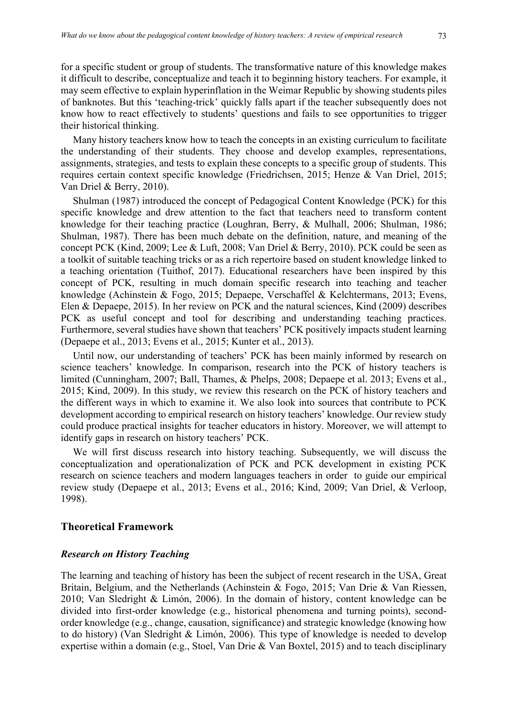for a specific student or group of students. The transformative nature of this knowledge makes it difficult to describe, conceptualize and teach it to beginning history teachers. For example, it may seem effective to explain hyperinflation in the Weimar Republic by showing students piles of banknotes. But this 'teaching-trick' quickly falls apart if the teacher subsequently does not know how to react effectively to students' questions and fails to see opportunities to trigger their historical thinking.

Many history teachers know how to teach the concepts in an existing curriculum to facilitate the understanding of their students. They choose and develop examples, representations, assignments, strategies, and tests to explain these concepts to a specific group of students. This requires certain context specific knowledge (Friedrichsen, 2015; Henze & Van Driel, 2015; Van Driel & Berry, 2010).

Shulman (1987) introduced the concept of Pedagogical Content Knowledge (PCK) for this specific knowledge and drew attention to the fact that teachers need to transform content knowledge for their teaching practice (Loughran, Berry, & Mulhall, 2006; Shulman, 1986; Shulman, 1987). There has been much debate on the definition, nature, and meaning of the concept PCK (Kind, 2009; Lee & Luft, 2008; Van Driel & Berry, 2010). PCK could be seen as a toolkit of suitable teaching tricks or as a rich repertoire based on student knowledge linked to a teaching orientation (Tuithof, 2017). Educational researchers have been inspired by this concept of PCK, resulting in much domain specific research into teaching and teacher knowledge (Achinstein & Fogo, 2015; Depaepe, Verschaffel & Kelchtermans, 2013; Evens, Elen & Depaepe, 2015). In her review on PCK and the natural sciences, Kind (2009) describes PCK as useful concept and tool for describing and understanding teaching practices. Furthermore, several studies have shown that teachers' PCK positively impacts student learning (Depaepe et al., 2013; Evens et al., 2015; Kunter et al., 2013).

Until now, our understanding of teachers' PCK has been mainly informed by research on science teachers' knowledge. In comparison, research into the PCK of history teachers is limited (Cunningham, 2007; Ball, Thames, & Phelps, 2008; Depaepe et al. 2013; Evens et al., 2015; Kind, 2009). In this study, we review this research on the PCK of history teachers and the different ways in which to examine it. We also look into sources that contribute to PCK development according to empirical research on history teachers' knowledge. Our review study could produce practical insights for teacher educators in history. Moreover, we will attempt to identify gaps in research on history teachers' PCK.

We will first discuss research into history teaching. Subsequently, we will discuss the conceptualization and operationalization of PCK and PCK development in existing PCK research on science teachers and modern languages teachers in order to guide our empirical review study (Depaepe et al., 2013; Evens et al., 2016; Kind, 2009; Van Driel, & Verloop, 1998).

#### **Theoretical Framework**

#### *Research on History Teaching*

The learning and teaching of history has been the subject of recent research in the USA, Great Britain, Belgium, and the Netherlands (Achinstein & Fogo, 2015; Van Drie & Van Riessen, 2010; Van Sledright & Limón, 2006). In the domain of history, content knowledge can be divided into first-order knowledge (e.g., historical phenomena and turning points), secondorder knowledge (e.g., change, causation, significance) and strategic knowledge (knowing how to do history) (Van Sledright & Limón, 2006). This type of knowledge is needed to develop expertise within a domain (e.g., Stoel, Van Drie & Van Boxtel, 2015) and to teach disciplinary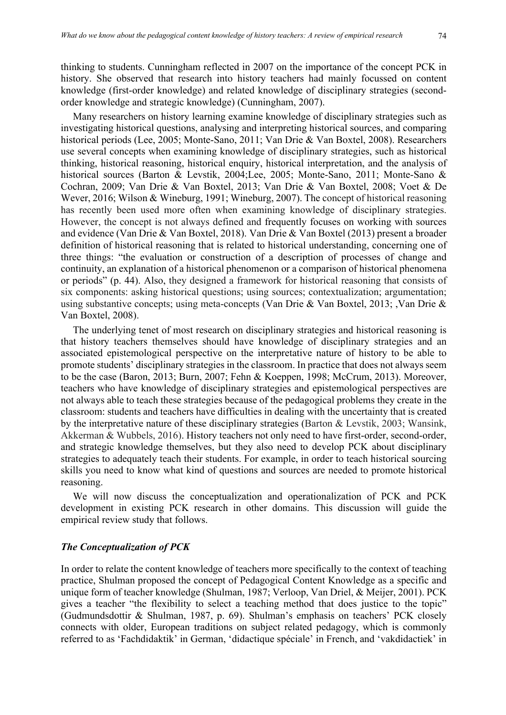thinking to students. Cunningham reflected in 2007 on the importance of the concept PCK in history. She observed that research into history teachers had mainly focussed on content knowledge (first-order knowledge) and related knowledge of disciplinary strategies (secondorder knowledge and strategic knowledge) (Cunningham, 2007).

Many researchers on history learning examine knowledge of disciplinary strategies such as investigating historical questions, analysing and interpreting historical sources, and comparing historical periods (Lee, 2005; Monte-Sano, 2011; Van Drie & Van Boxtel, 2008). Researchers use several concepts when examining knowledge of disciplinary strategies, such as historical thinking, historical reasoning, historical enquiry, historical interpretation, and the analysis of historical sources (Barton & Levstik, 2004;Lee, 2005; Monte-Sano, 2011; Monte-Sano & Cochran, 2009; Van Drie & Van Boxtel, 2013; Van Drie & Van Boxtel, 2008; Voet & De Wever, 2016; Wilson & Wineburg, 1991; Wineburg, 2007). The concept of historical reasoning has recently been used more often when examining knowledge of disciplinary strategies. However, the concept is not always defined and frequently focuses on working with sources and evidence (Van Drie & Van Boxtel, 2018). Van Drie & Van Boxtel (2013) present a broader definition of historical reasoning that is related to historical understanding, concerning one of three things: "the evaluation or construction of a description of processes of change and continuity, an explanation of a historical phenomenon or a comparison of historical phenomena or periods" (p. 44). Also, they designed a framework for historical reasoning that consists of six components: asking historical questions; using sources; contextualization; argumentation; using substantive concepts; using meta-concepts (Van Drie & Van Boxtel, 2013; ,Van Drie & Van Boxtel, 2008).

The underlying tenet of most research on disciplinary strategies and historical reasoning is that history teachers themselves should have knowledge of disciplinary strategies and an associated epistemological perspective on the interpretative nature of history to be able to promote students' disciplinary strategies in the classroom. In practice that does not always seem to be the case (Baron, 2013; Burn, 2007; Fehn & Koeppen, 1998; McCrum, 2013). Moreover, teachers who have knowledge of disciplinary strategies and epistemological perspectives are not always able to teach these strategies because of the pedagogical problems they create in the classroom: students and teachers have difficulties in dealing with the uncertainty that is created by the interpretative nature of these disciplinary strategies (Barton & Levstik, 2003; Wansink, Akkerman & Wubbels, 2016). History teachers not only need to have first-order, second-order, and strategic knowledge themselves, but they also need to develop PCK about disciplinary strategies to adequately teach their students. For example, in order to teach historical sourcing skills you need to know what kind of questions and sources are needed to promote historical reasoning.

We will now discuss the conceptualization and operationalization of PCK and PCK development in existing PCK research in other domains. This discussion will guide the empirical review study that follows.

### *The Conceptualization of PCK*

In order to relate the content knowledge of teachers more specifically to the context of teaching practice, Shulman proposed the concept of Pedagogical Content Knowledge as a specific and unique form of teacher knowledge (Shulman, 1987; Verloop, Van Driel, & Meijer, 2001). PCK gives a teacher "the flexibility to select a teaching method that does justice to the topic" (Gudmundsdottir & Shulman, 1987, p. 69). Shulman's emphasis on teachers' PCK closely connects with older, European traditions on subject related pedagogy, which is commonly referred to as 'Fachdidaktik' in German, 'didactique spéciale' in French, and 'vakdidactiek' in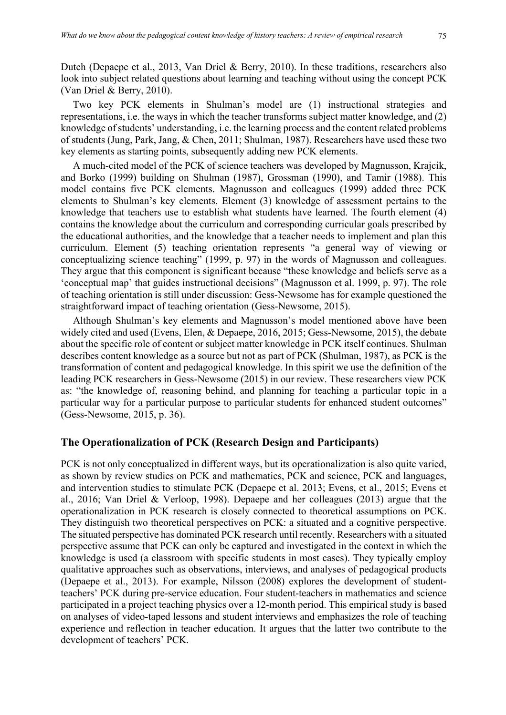Dutch (Depaepe et al., 2013, Van Driel & Berry, 2010). In these traditions, researchers also look into subject related questions about learning and teaching without using the concept PCK (Van Driel & Berry, 2010).

Two key PCK elements in Shulman's model are (1) instructional strategies and representations, i.e. the ways in which the teacher transforms subject matter knowledge, and (2) knowledge of students' understanding, i.e. the learning process and the content related problems of students (Jung, Park, Jang, & Chen, 2011; Shulman, 1987). Researchers have used these two key elements as starting points, subsequently adding new PCK elements.

A much-cited model of the PCK of science teachers was developed by Magnusson, Krajcik, and Borko (1999) building on Shulman (1987), Grossman (1990), and Tamir (1988). This model contains five PCK elements. Magnusson and colleagues (1999) added three PCK elements to Shulman's key elements. Element (3) knowledge of assessment pertains to the knowledge that teachers use to establish what students have learned. The fourth element (4) contains the knowledge about the curriculum and corresponding curricular goals prescribed by the educational authorities, and the knowledge that a teacher needs to implement and plan this curriculum. Element (5) teaching orientation represents "a general way of viewing or conceptualizing science teaching" (1999, p. 97) in the words of Magnusson and colleagues. They argue that this component is significant because "these knowledge and beliefs serve as a 'conceptual map' that guides instructional decisions" (Magnusson et al. 1999, p. 97). The role of teaching orientation is still under discussion: Gess-Newsome has for example questioned the straightforward impact of teaching orientation (Gess-Newsome, 2015).

Although Shulman's key elements and Magnusson's model mentioned above have been widely cited and used (Evens, Elen, & Depaepe, 2016, 2015; Gess-Newsome, 2015), the debate about the specific role of content or subject matter knowledge in PCK itself continues. Shulman describes content knowledge as a source but not as part of PCK (Shulman, 1987), as PCK is the transformation of content and pedagogical knowledge. In this spirit we use the definition of the leading PCK researchers in Gess-Newsome (2015) in our review. These researchers view PCK as: "the knowledge of, reasoning behind, and planning for teaching a particular topic in a particular way for a particular purpose to particular students for enhanced student outcomes" (Gess-Newsome, 2015, p. 36).

## **The Operationalization of PCK (Research Design and Participants)**

PCK is not only conceptualized in different ways, but its operationalization is also quite varied, as shown by review studies on PCK and mathematics, PCK and science, PCK and languages, and intervention studies to stimulate PCK (Depaepe et al. 2013; Evens, et al., 2015; Evens et al., 2016; Van Driel & Verloop, 1998). Depaepe and her colleagues (2013) argue that the operationalization in PCK research is closely connected to theoretical assumptions on PCK. They distinguish two theoretical perspectives on PCK: a situated and a cognitive perspective. The situated perspective has dominated PCK research until recently. Researchers with a situated perspective assume that PCK can only be captured and investigated in the context in which the knowledge is used (a classroom with specific students in most cases). They typically employ qualitative approaches such as observations, interviews, and analyses of pedagogical products (Depaepe et al., 2013). For example, Nilsson (2008) explores the development of studentteachers' PCK during pre-service education. Four student-teachers in mathematics and science participated in a project teaching physics over a 12-month period. This empirical study is based on analyses of video-taped lessons and student interviews and emphasizes the role of teaching experience and reflection in teacher education. It argues that the latter two contribute to the development of teachers' PCK.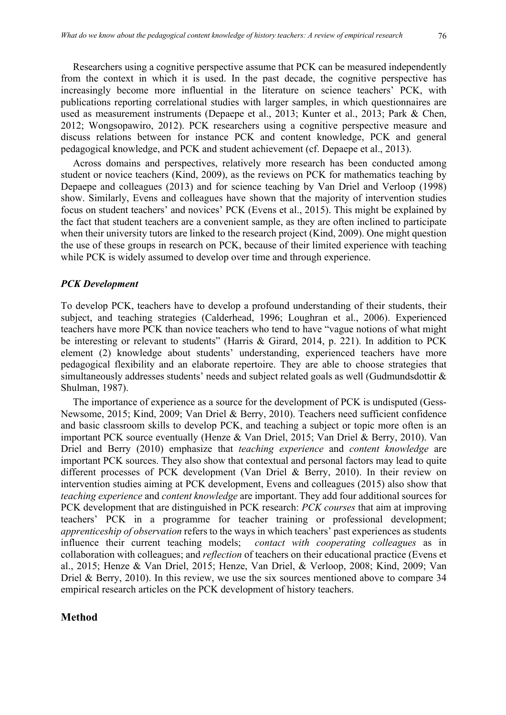Researchers using a cognitive perspective assume that PCK can be measured independently from the context in which it is used. In the past decade, the cognitive perspective has increasingly become more influential in the literature on science teachers' PCK, with publications reporting correlational studies with larger samples, in which questionnaires are used as measurement instruments (Depaepe et al., 2013; Kunter et al., 2013; Park & Chen, 2012; Wongsopawiro, 2012). PCK researchers using a cognitive perspective measure and discuss relations between for instance PCK and content knowledge, PCK and general pedagogical knowledge, and PCK and student achievement (cf. Depaepe et al., 2013).

Across domains and perspectives, relatively more research has been conducted among student or novice teachers (Kind, 2009), as the reviews on PCK for mathematics teaching by Depaepe and colleagues (2013) and for science teaching by Van Driel and Verloop (1998) show. Similarly, Evens and colleagues have shown that the majority of intervention studies focus on student teachers' and novices' PCK (Evens et al., 2015). This might be explained by the fact that student teachers are a convenient sample, as they are often inclined to participate when their university tutors are linked to the research project (Kind, 2009). One might question the use of these groups in research on PCK, because of their limited experience with teaching while PCK is widely assumed to develop over time and through experience.

## *PCK Development*

To develop PCK, teachers have to develop a profound understanding of their students, their subject, and teaching strategies (Calderhead, 1996; Loughran et al., 2006). Experienced teachers have more PCK than novice teachers who tend to have "vague notions of what might be interesting or relevant to students" (Harris & Girard, 2014, p. 221). In addition to PCK element (2) knowledge about students' understanding, experienced teachers have more pedagogical flexibility and an elaborate repertoire. They are able to choose strategies that simultaneously addresses students' needs and subject related goals as well (Gudmundsdottir & Shulman, 1987).

The importance of experience as a source for the development of PCK is undisputed (Gess-Newsome, 2015; Kind, 2009; Van Driel & Berry, 2010). Teachers need sufficient confidence and basic classroom skills to develop PCK, and teaching a subject or topic more often is an important PCK source eventually (Henze & Van Driel, 2015; Van Driel & Berry, 2010). Van Driel and Berry (2010) emphasize that *teaching experience* and *content knowledge* are important PCK sources. They also show that contextual and personal factors may lead to quite different processes of PCK development (Van Driel & Berry, 2010). In their review on intervention studies aiming at PCK development, Evens and colleagues (2015) also show that *teaching experience* and *content knowledge* are important. They add four additional sources for PCK development that are distinguished in PCK research: *PCK courses* that aim at improving teachers' PCK in a programme for teacher training or professional development; *apprenticeship of observation* refers to the ways in which teachers' past experiences as students influence their current teaching models; *contact with cooperating colleagues* as in collaboration with colleagues; and *reflection* of teachers on their educational practice (Evens et al., 2015; Henze & Van Driel, 2015; Henze, Van Driel, & Verloop, 2008; Kind, 2009; Van Driel & Berry, 2010). In this review, we use the six sources mentioned above to compare 34 empirical research articles on the PCK development of history teachers.

## **Method**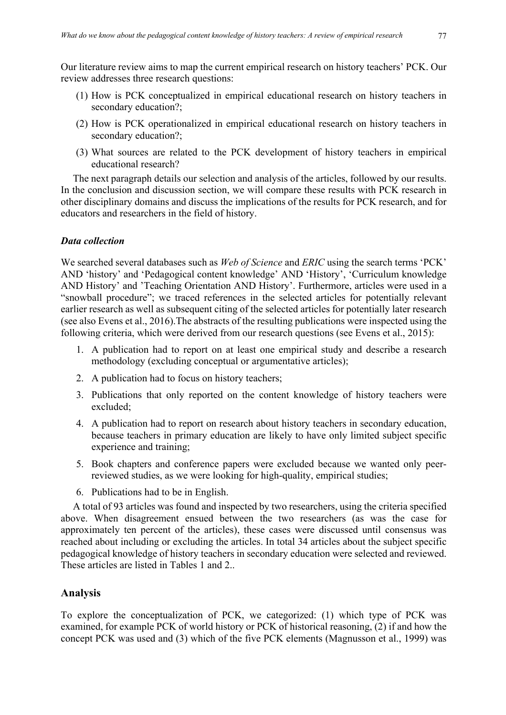Our literature review aims to map the current empirical research on history teachers' PCK. Our review addresses three research questions:

- (1) How is PCK conceptualized in empirical educational research on history teachers in secondary education?;
- (2) How is PCK operationalized in empirical educational research on history teachers in secondary education?;
- (3) What sources are related to the PCK development of history teachers in empirical educational research?

The next paragraph details our selection and analysis of the articles, followed by our results. In the conclusion and discussion section, we will compare these results with PCK research in other disciplinary domains and discuss the implications of the results for PCK research, and for educators and researchers in the field of history.

## *Data collection*

We searched several databases such as *Web of Science* and *ERIC* using the search terms 'PCK' AND 'history' and 'Pedagogical content knowledge' AND 'History', 'Curriculum knowledge AND History' and 'Teaching Orientation AND History'. Furthermore, articles were used in a "snowball procedure"; we traced references in the selected articles for potentially relevant earlier research as well as subsequent citing of the selected articles for potentially later research (see also Evens et al., 2016).The abstracts of the resulting publications were inspected using the following criteria, which were derived from our research questions (see Evens et al., 2015):

- 1. A publication had to report on at least one empirical study and describe a research methodology (excluding conceptual or argumentative articles);
- 2. A publication had to focus on history teachers;
- 3. Publications that only reported on the content knowledge of history teachers were excluded;
- 4. A publication had to report on research about history teachers in secondary education, because teachers in primary education are likely to have only limited subject specific experience and training;
- 5. Book chapters and conference papers were excluded because we wanted only peerreviewed studies, as we were looking for high-quality, empirical studies;
- 6. Publications had to be in English.

A total of 93 articles was found and inspected by two researchers, using the criteria specified above. When disagreement ensued between the two researchers (as was the case for approximately ten percent of the articles), these cases were discussed until consensus was reached about including or excluding the articles. In total 34 articles about the subject specific pedagogical knowledge of history teachers in secondary education were selected and reviewed. These articles are listed in Tables 1 and 2..

## **Analysis**

To explore the conceptualization of PCK, we categorized: (1) which type of PCK was examined, for example PCK of world history or PCK of historical reasoning, (2) if and how the concept PCK was used and (3) which of the five PCK elements (Magnusson et al., 1999) was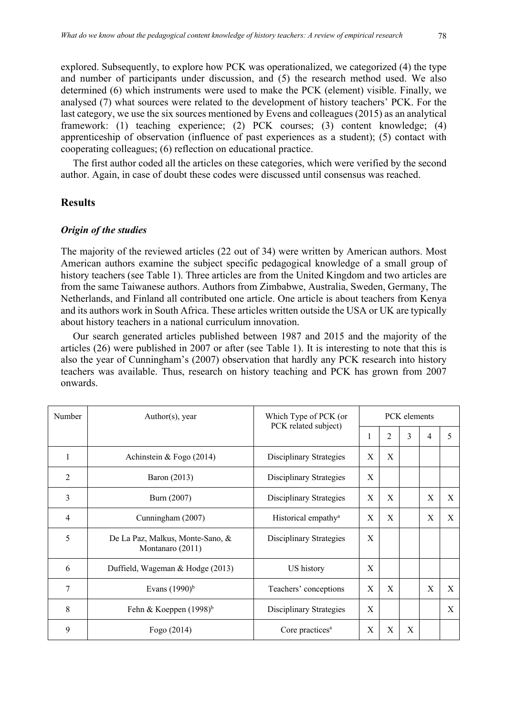explored. Subsequently, to explore how PCK was operationalized, we categorized (4) the type and number of participants under discussion, and (5) the research method used. We also determined (6) which instruments were used to make the PCK (element) visible. Finally, we analysed (7) what sources were related to the development of history teachers' PCK. For the last category, we use the six sources mentioned by Evens and colleagues (2015) as an analytical framework: (1) teaching experience; (2) PCK courses; (3) content knowledge; (4) apprenticeship of observation (influence of past experiences as a student); (5) contact with cooperating colleagues; (6) reflection on educational practice.

The first author coded all the articles on these categories, which were verified by the second author. Again, in case of doubt these codes were discussed until consensus was reached.

## **Results**

#### *Origin of the studies*

The majority of the reviewed articles (22 out of 34) were written by American authors. Most American authors examine the subject specific pedagogical knowledge of a small group of history teachers (see Table 1). Three articles are from the United Kingdom and two articles are from the same Taiwanese authors. Authors from Zimbabwe, Australia, Sweden, Germany, The Netherlands, and Finland all contributed one article. One article is about teachers from Kenya and its authors work in South Africa. These articles written outside the USA or UK are typically about history teachers in a national curriculum innovation.

Our search generated articles published between 1987 and 2015 and the majority of the articles (26) were published in 2007 or after (see Table 1). It is interesting to note that this is also the year of Cunningham's (2007) observation that hardly any PCK research into history teachers was available. Thus, research on history teaching and PCK has grown from 2007 onwards.

| Number         | Author(s), year                                      | Which Type of PCK (or<br>PCK related subject) | PCK elements   |   |   |   |   |  |
|----------------|------------------------------------------------------|-----------------------------------------------|----------------|---|---|---|---|--|
|                |                                                      | 1                                             | $\overline{2}$ | 3 | 4 | 5 |   |  |
| 1              | Achinstein & Fogo (2014)                             | Disciplinary Strategies                       | X              | X |   |   |   |  |
| $\overline{2}$ | Baron (2013)                                         | Disciplinary Strategies                       | X              |   |   |   |   |  |
| 3              | Burn (2007)                                          | Disciplinary Strategies                       | X              | X |   | X | X |  |
| 4              | Cunningham (2007)                                    | Historical empathy <sup>a</sup>               | X              | X |   | X | X |  |
| 5              | De La Paz, Malkus, Monte-Sano, &<br>Montanaro (2011) | Disciplinary Strategies                       | X              |   |   |   |   |  |
| 6              | Duffield, Wageman & Hodge (2013)                     | US history                                    | X              |   |   |   |   |  |
| 7              | Evans $(1990)^b$                                     | Teachers' conceptions                         | X              | X |   | X | X |  |
| 8              | Fehn & Koeppen $(1998)^{b}$                          | Disciplinary Strategies                       | X              |   |   |   | X |  |
| 9              | Fogo (2014)                                          | Core practices <sup>a</sup>                   | X              | X | X |   |   |  |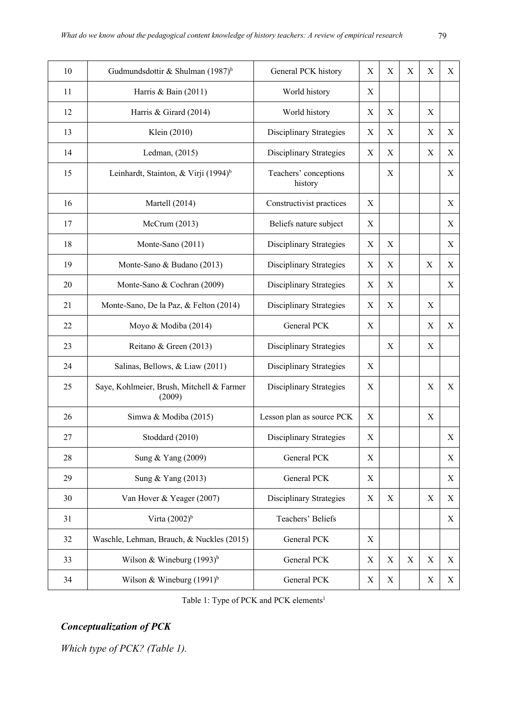| 10 | Gudmundsdottir & Shulman (1987) <sup>b</sup>        | General PCK history              | $\mathbf X$ | $\mathbf X$ | $\mathbf X$ | $\mathbf X$ | X           |
|----|-----------------------------------------------------|----------------------------------|-------------|-------------|-------------|-------------|-------------|
| 11 | Harris & Bain (2011)                                | World history                    | X           |             |             |             |             |
| 12 | Harris & Girard (2014)                              | World history                    | $\mathbf X$ | X           |             | $\mathbf X$ |             |
| 13 | Klein (2010)                                        | <b>Disciplinary Strategies</b>   | $\mathbf X$ | X           |             | $\mathbf X$ | X           |
| 14 | Ledman, (2015)                                      | Disciplinary Strategies          | $\mathbf X$ | X           |             | $\mathbf X$ | X           |
| 15 | Leinhardt, Stainton, & Virji (1994) <sup>b</sup>    | Teachers' conceptions<br>history |             | X           |             |             | $\mathbf X$ |
| 16 | Martell (2014)                                      | Constructivist practices         | X           |             |             |             | X           |
| 17 | McCrum (2013)                                       | Beliefs nature subject           | X           |             |             |             | X           |
| 18 | Monte-Sano (2011)                                   | <b>Disciplinary Strategies</b>   | X           | Χ           |             |             | X           |
| 19 | Monte-Sano & Budano (2013)                          | <b>Disciplinary Strategies</b>   | X           | Χ           |             | X           | X           |
| 20 | Monte-Sano & Cochran (2009)                         | <b>Disciplinary Strategies</b>   | X           | Χ           |             |             | X           |
| 21 | Monte-Sano, De la Paz, & Felton (2014)              | <b>Disciplinary Strategies</b>   | X           | Χ           |             | X           |             |
| 22 | Moyo & Modiba (2014)                                | General PCK                      | X           |             |             | X           | X           |
| 23 | Reitano & Green (2013)                              | <b>Disciplinary Strategies</b>   |             | X           |             | X           |             |
| 24 | Salinas, Bellows, & Liaw (2011)                     | <b>Disciplinary Strategies</b>   | X           |             |             |             |             |
| 25 | Saye, Kohlmeier, Brush, Mitchell & Farmer<br>(2009) | <b>Disciplinary Strategies</b>   | X           |             |             | $\mathbf X$ | X           |
| 26 | Simwa & Modiba (2015)                               | Lesson plan as source PCK        | X           |             |             | $\mathbf X$ |             |
| 27 | Stoddard (2010)                                     | Disciplinary Strategies          | X           |             |             |             | Χ           |
| 28 | Sung & Yang (2009)                                  | General PCK                      | $\mathbf X$ |             |             |             | X           |
| 29 | Sung & Yang (2013)                                  | General PCK                      | $\mathbf X$ |             |             |             | X           |
| 30 | Van Hover & Yeager (2007)                           | Disciplinary Strategies          | $\mathbf X$ | Χ           |             | $\mathbf X$ | X           |
| 31 | Virta $(2002)^b$                                    | Teachers' Beliefs                |             |             |             |             | X           |
| 32 | Waschle, Lehman, Brauch, & Nuckles (2015)           | General PCK                      | X           |             |             |             |             |
| 33 | Wilson & Wineburg $(1993)^{b}$                      | General PCK                      | $\mathbf X$ | X           | $\mathbf X$ | $\mathbf X$ | X           |
| 34 | Wilson & Wineburg $(1991)^{b}$                      | General PCK                      | X           | X           |             | X           | X           |

Table 1: Type of PCK and PCK elements<sup>1</sup>

## *Conceptualization of PCK*

*Which type of PCK? (Table 1).*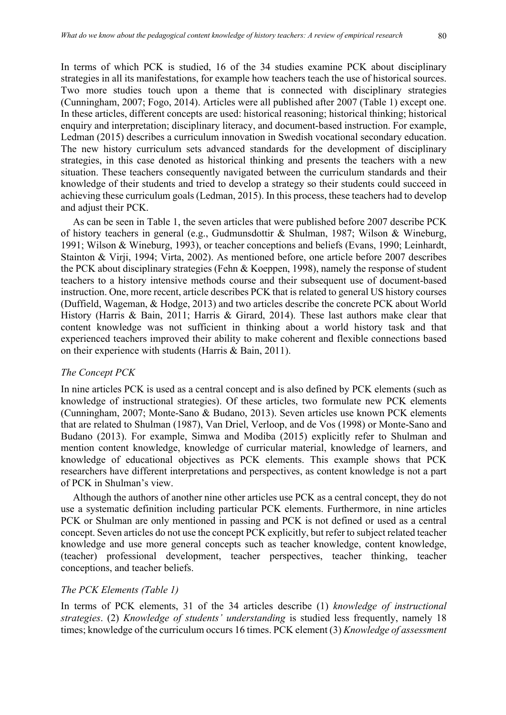In terms of which PCK is studied, 16 of the 34 studies examine PCK about disciplinary strategies in all its manifestations, for example how teachers teach the use of historical sources. Two more studies touch upon a theme that is connected with disciplinary strategies (Cunningham, 2007; Fogo, 2014). Articles were all published after 2007 (Table 1) except one. In these articles, different concepts are used: historical reasoning; historical thinking; historical enquiry and interpretation; disciplinary literacy, and document-based instruction. For example, Ledman (2015) describes a curriculum innovation in Swedish vocational secondary education. The new history curriculum sets advanced standards for the development of disciplinary strategies, in this case denoted as historical thinking and presents the teachers with a new situation. These teachers consequently navigated between the curriculum standards and their knowledge of their students and tried to develop a strategy so their students could succeed in achieving these curriculum goals (Ledman, 2015). In this process, these teachers had to develop and adjust their PCK.

As can be seen in Table 1, the seven articles that were published before 2007 describe PCK of history teachers in general (e.g., Gudmunsdottir & Shulman, 1987; Wilson & Wineburg, 1991; Wilson & Wineburg, 1993), or teacher conceptions and beliefs (Evans, 1990; Leinhardt, Stainton & Virji, 1994; Virta, 2002). As mentioned before, one article before 2007 describes the PCK about disciplinary strategies (Fehn & Koeppen, 1998), namely the response of student teachers to a history intensive methods course and their subsequent use of document-based instruction. One, more recent, article describes PCK that is related to general US history courses (Duffield, Wageman, & Hodge, 2013) and two articles describe the concrete PCK about World History (Harris & Bain, 2011; Harris & Girard, 2014). These last authors make clear that content knowledge was not sufficient in thinking about a world history task and that experienced teachers improved their ability to make coherent and flexible connections based on their experience with students (Harris & Bain, 2011).

#### *The Concept PCK*

In nine articles PCK is used as a central concept and is also defined by PCK elements (such as knowledge of instructional strategies). Of these articles, two formulate new PCK elements (Cunningham, 2007; Monte-Sano & Budano, 2013). Seven articles use known PCK elements that are related to Shulman (1987), Van Driel, Verloop, and de Vos (1998) or Monte-Sano and Budano (2013). For example, Simwa and Modiba (2015) explicitly refer to Shulman and mention content knowledge, knowledge of curricular material, knowledge of learners, and knowledge of educational objectives as PCK elements. This example shows that PCK researchers have different interpretations and perspectives, as content knowledge is not a part of PCK in Shulman's view.

Although the authors of another nine other articles use PCK as a central concept, they do not use a systematic definition including particular PCK elements. Furthermore, in nine articles PCK or Shulman are only mentioned in passing and PCK is not defined or used as a central concept. Seven articles do not use the concept PCK explicitly, but refer to subject related teacher knowledge and use more general concepts such as teacher knowledge, content knowledge, (teacher) professional development, teacher perspectives, teacher thinking, teacher conceptions, and teacher beliefs.

#### *The PCK Elements (Table 1)*

In terms of PCK elements, 31 of the 34 articles describe (1) *knowledge of instructional strategies*. (2) *Knowledge of students' understanding* is studied less frequently, namely 18 times; knowledge of the curriculum occurs 16 times. PCK element (3) *Knowledge of assessment*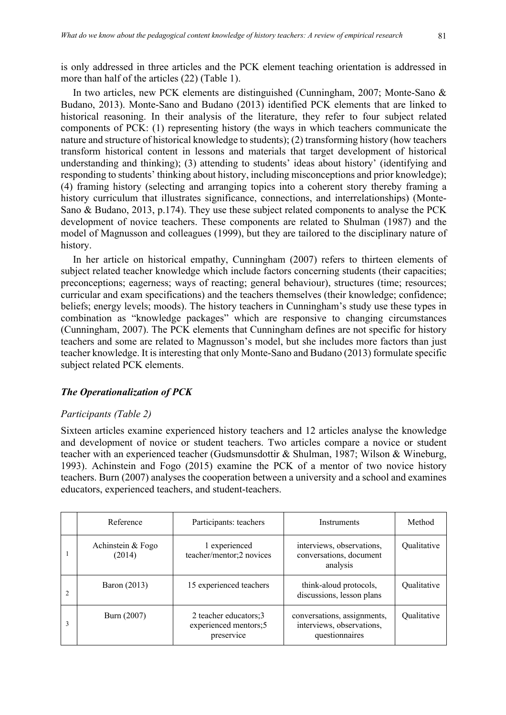is only addressed in three articles and the PCK element teaching orientation is addressed in more than half of the articles (22) (Table 1).

In two articles, new PCK elements are distinguished (Cunningham, 2007; Monte-Sano & Budano, 2013). Monte-Sano and Budano (2013) identified PCK elements that are linked to historical reasoning. In their analysis of the literature, they refer to four subject related components of PCK: (1) representing history (the ways in which teachers communicate the nature and structure of historical knowledge to students); (2) transforming history (how teachers transform historical content in lessons and materials that target development of historical understanding and thinking); (3) attending to students' ideas about history' (identifying and responding to students' thinking about history, including misconceptions and prior knowledge); (4) framing history (selecting and arranging topics into a coherent story thereby framing a history curriculum that illustrates significance, connections, and interrelationships) (Monte-Sano & Budano, 2013, p.174). They use these subject related components to analyse the PCK development of novice teachers. These components are related to Shulman (1987) and the model of Magnusson and colleagues (1999), but they are tailored to the disciplinary nature of history.

In her article on historical empathy, Cunningham (2007) refers to thirteen elements of subject related teacher knowledge which include factors concerning students (their capacities; preconceptions; eagerness; ways of reacting; general behaviour), structures (time; resources; curricular and exam specifications) and the teachers themselves (their knowledge; confidence; beliefs; energy levels; moods). The history teachers in Cunningham's study use these types in combination as "knowledge packages" which are responsive to changing circumstances (Cunningham, 2007). The PCK elements that Cunningham defines are not specific for history teachers and some are related to Magnusson's model, but she includes more factors than just teacher knowledge. It is interesting that only Monte-Sano and Budano (2013) formulate specific subject related PCK elements.

## *The Operationalization of PCK*

## *Participants (Table 2)*

Sixteen articles examine experienced history teachers and 12 articles analyse the knowledge and development of novice or student teachers. Two articles compare a novice or student teacher with an experienced teacher (Gudsmunsdottir & Shulman, 1987; Wilson & Wineburg, 1993). Achinstein and Fogo (2015) examine the PCK of a mentor of two novice history teachers. Burn (2007) analyses the cooperation between a university and a school and examines educators, experienced teachers, and student-teachers.

|                | Reference                   | Participants: teachers                                        | Instruments                                                                | Method      |
|----------------|-----------------------------|---------------------------------------------------------------|----------------------------------------------------------------------------|-------------|
|                | Achinstein & Fogo<br>(2014) | 1 experienced<br>teacher/mentor;2 novices                     | interviews, observations,<br>conversations, document<br>analysis           | Qualitative |
| $\mathfrak{D}$ | Baron (2013)                | 15 experienced teachers                                       | think-aloud protocols,<br>discussions, lesson plans                        | Qualitative |
| 3              | Burn (2007)                 | 2 teacher educators; 3<br>experienced mentors;5<br>preservice | conversations, assignments,<br>interviews, observations,<br>questionnaires | Qualitative |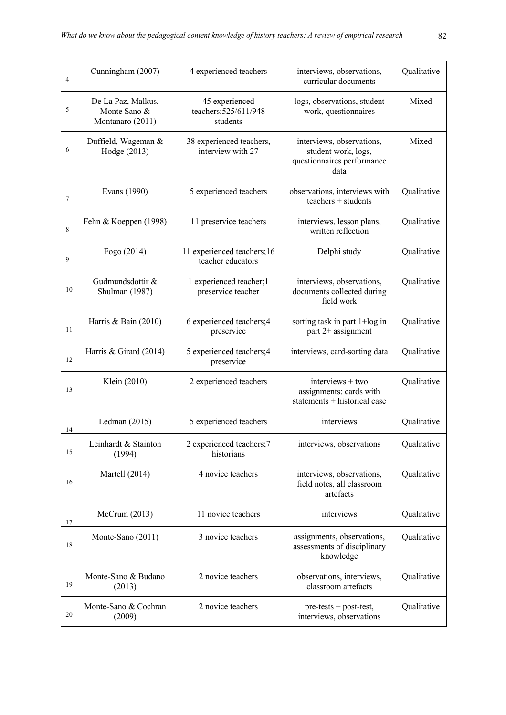| $\overline{4}$ | Cunningham (2007)                                              | 4 experienced teachers                              | interviews, observations,<br>curricular documents                                      | Qualitative |
|----------------|----------------------------------------------------------------|-----------------------------------------------------|----------------------------------------------------------------------------------------|-------------|
| 5              | De La Paz, Malkus,<br>Monte Sano &<br>Montanaro (2011)         | 45 experienced<br>teachers; 525/611/948<br>students | logs, observations, student<br>work, questionnaires                                    | Mixed       |
| 6              | Duffield, Wageman &<br>Hodge (2013)                            | 38 experienced teachers,<br>interview with 27       | interviews, observations,<br>student work, logs,<br>questionnaires performance<br>data | Mixed       |
| $\tau$         | Evans (1990)                                                   | 5 experienced teachers                              | observations, interviews with<br>$teaches + students$                                  | Qualitative |
| 8              | 11 preservice teachers<br>Fehn & Koeppen (1998)                |                                                     | interviews, lesson plans,<br>written reflection                                        | Qualitative |
| 9              | Fogo (2014)                                                    | 11 experienced teachers;16<br>teacher educators     | Delphi study                                                                           | Qualitative |
| 10             | Gudmundsdottir &<br>Shulman (1987)                             | 1 experienced teacher; 1<br>preservice teacher      | interviews, observations,<br>documents collected during<br>field work                  | Qualitative |
| 11             | 6 experienced teachers;4<br>Harris & Bain (2010)<br>preservice |                                                     | sorting task in part 1+log in<br>part 2+ assignment                                    | Qualitative |
| 12             | Harris & Girard (2014)                                         | 5 experienced teachers;4<br>preservice              | interviews, card-sorting data                                                          | Qualitative |
| 13             | Klein (2010)                                                   | 2 experienced teachers                              | interviews $+$ two<br>assignments: cards with<br>statements + historical case          | Qualitative |
| 14             | Ledman $(2015)$                                                | 5 experienced teachers                              | interviews                                                                             | Qualitative |
| 15             | Leinhardt & Stainton<br>(1994)                                 | 2 experienced teachers;7<br>historians              | interviews, observations                                                               | Qualitative |
| 16             | Martell (2014)                                                 | 4 novice teachers                                   | interviews, observations,<br>field notes, all classroom<br>artefacts                   | Qualitative |
| 17             | McCrum (2013)                                                  | 11 novice teachers                                  | interviews                                                                             | Qualitative |
| 18             | Monte-Sano (2011)                                              | 3 novice teachers                                   | assignments, observations,<br>assessments of disciplinary<br>knowledge                 | Qualitative |
| 19             | Monte-Sano & Budano<br>(2013)                                  | 2 novice teachers                                   | observations, interviews,<br>classroom artefacts                                       | Qualitative |
| 20             | Monte-Sano & Cochran<br>(2009)                                 | 2 novice teachers                                   | $pre-tests + post-test,$<br>interviews, observations                                   | Qualitative |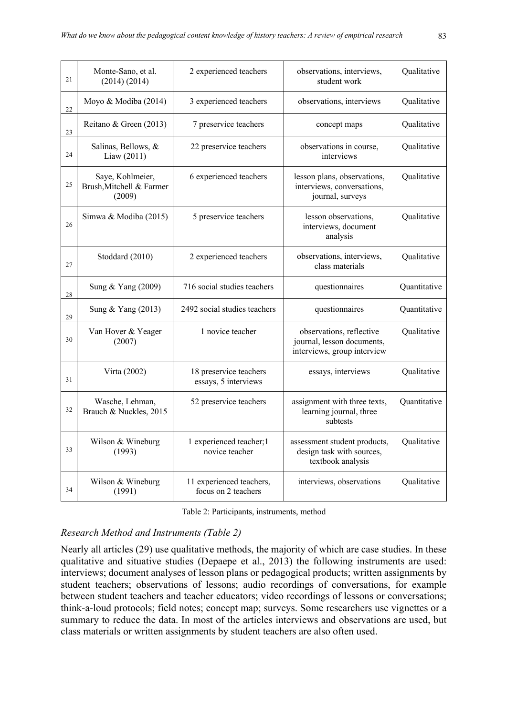| 21     | Monte-Sano, et al.<br>(2014) (2014)                    | 2 experienced teachers                          | observations, interviews,<br>student work                                             | Qualitative  |
|--------|--------------------------------------------------------|-------------------------------------------------|---------------------------------------------------------------------------------------|--------------|
| 22     | Moyo & Modiba (2014)                                   | 3 experienced teachers                          | observations, interviews                                                              | Qualitative  |
| 23     | Reitano & Green (2013)                                 | 7 preservice teachers                           | concept maps                                                                          | Qualitative  |
| 24     | Salinas, Bellows, &<br>Liaw $(2011)$                   | 22 preservice teachers                          | observations in course,<br>interviews                                                 | Qualitative  |
| 25     | Saye, Kohlmeier,<br>Brush, Mitchell & Farmer<br>(2009) | 6 experienced teachers                          | lesson plans, observations,<br>interviews, conversations,<br>journal, surveys         |              |
| 26     | Simwa & Modiba (2015)                                  | 5 preservice teachers                           |                                                                                       | Qualitative  |
| 27     | Stoddard (2010)                                        | 2 experienced teachers                          | observations, interviews,<br>class materials                                          | Qualitative  |
| $28\,$ | Sung & Yang (2009)                                     | 716 social studies teachers                     | questionnaires                                                                        | Quantitative |
| 29     | Sung & Yang (2013)                                     | 2492 social studies teachers                    | questionnaires                                                                        | Quantitative |
| 30     | Van Hover & Yeager<br>(2007)                           | 1 novice teacher                                | observations, reflective<br>journal, lesson documents,<br>interviews, group interview | Qualitative  |
| 31     | Virta (2002)                                           | 18 preservice teachers<br>essays, 5 interviews  | essays, interviews                                                                    | Qualitative  |
| 32     | Wasche, Lehman,<br>Brauch & Nuckles, 2015              | 52 preservice teachers                          | assignment with three texts,<br>learning journal, three<br>subtests                   | Quantitative |
| 33     | Wilson & Wineburg<br>(1993)                            | 1 experienced teacher;1<br>novice teacher       | assessment student products,<br>design task with sources,<br>textbook analysis        | Qualitative  |
| 34     | Wilson & Wineburg<br>(1991)                            | 11 experienced teachers,<br>focus on 2 teachers | interviews, observations                                                              | Qualitative  |

Table 2: Participants, instruments, method

## *Research Method and Instruments (Table 2)*

Nearly all articles (29) use qualitative methods, the majority of which are case studies. In these qualitative and situative studies (Depaepe et al., 2013) the following instruments are used: interviews; document analyses of lesson plans or pedagogical products; written assignments by student teachers; observations of lessons; audio recordings of conversations, for example between student teachers and teacher educators; video recordings of lessons or conversations; think-a-loud protocols; field notes; concept map; surveys. Some researchers use vignettes or a summary to reduce the data. In most of the articles interviews and observations are used, but class materials or written assignments by student teachers are also often used.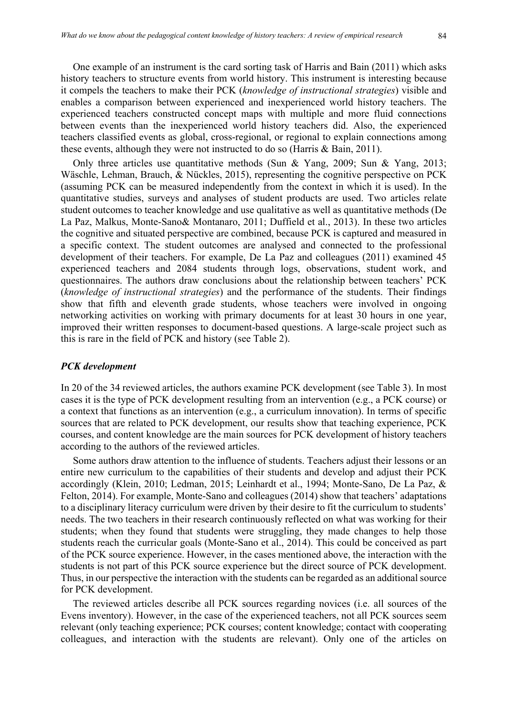One example of an instrument is the card sorting task of Harris and Bain (2011) which asks history teachers to structure events from world history. This instrument is interesting because it compels the teachers to make their PCK (*knowledge of instructional strategies*) visible and enables a comparison between experienced and inexperienced world history teachers. The experienced teachers constructed concept maps with multiple and more fluid connections between events than the inexperienced world history teachers did. Also, the experienced teachers classified events as global, cross-regional, or regional to explain connections among these events, although they were not instructed to do so (Harris & Bain, 2011).

Only three articles use quantitative methods (Sun & Yang, 2009; Sun & Yang, 2013; Wäschle, Lehman, Brauch, & Nückles, 2015), representing the cognitive perspective on PCK (assuming PCK can be measured independently from the context in which it is used). In the quantitative studies, surveys and analyses of student products are used. Two articles relate student outcomes to teacher knowledge and use qualitative as well as quantitative methods (De La Paz, Malkus, Monte-Sano& Montanaro, 2011; Duffield et al., 2013). In these two articles the cognitive and situated perspective are combined, because PCK is captured and measured in a specific context. The student outcomes are analysed and connected to the professional development of their teachers. For example, De La Paz and colleagues (2011) examined 45 experienced teachers and 2084 students through logs, observations, student work, and questionnaires. The authors draw conclusions about the relationship between teachers' PCK (*knowledge of instructional strategies*) and the performance of the students. Their findings show that fifth and eleventh grade students, whose teachers were involved in ongoing networking activities on working with primary documents for at least 30 hours in one year, improved their written responses to document-based questions. A large-scale project such as this is rare in the field of PCK and history (see Table 2).

#### *PCK development*

In 20 of the 34 reviewed articles, the authors examine PCK development (see Table 3). In most cases it is the type of PCK development resulting from an intervention (e.g., a PCK course) or a context that functions as an intervention (e.g., a curriculum innovation). In terms of specific sources that are related to PCK development, our results show that teaching experience, PCK courses, and content knowledge are the main sources for PCK development of history teachers according to the authors of the reviewed articles.

Some authors draw attention to the influence of students. Teachers adjust their lessons or an entire new curriculum to the capabilities of their students and develop and adjust their PCK accordingly (Klein, 2010; Ledman, 2015; Leinhardt et al., 1994; Monte-Sano, De La Paz, & Felton, 2014). For example, Monte-Sano and colleagues (2014) show that teachers' adaptations to a disciplinary literacy curriculum were driven by their desire to fit the curriculum to students' needs. The two teachers in their research continuously reflected on what was working for their students; when they found that students were struggling, they made changes to help those students reach the curricular goals (Monte-Sano et al., 2014). This could be conceived as part of the PCK source experience. However, in the cases mentioned above, the interaction with the students is not part of this PCK source experience but the direct source of PCK development. Thus, in our perspective the interaction with the students can be regarded as an additional source for PCK development.

The reviewed articles describe all PCK sources regarding novices (i.e. all sources of the Evens inventory). However, in the case of the experienced teachers, not all PCK sources seem relevant (only teaching experience; PCK courses; content knowledge; contact with cooperating colleagues, and interaction with the students are relevant). Only one of the articles on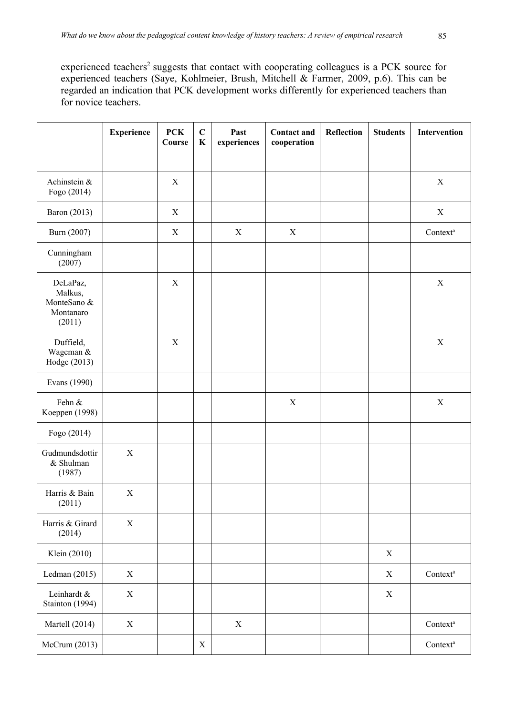experienced teachers<sup>2</sup> suggests that contact with cooperating colleagues is a PCK source for experienced teachers (Saye, Kohlmeier, Brush, Mitchell & Farmer, 2009, p.6). This can be regarded an indication that PCK development works differently for experienced teachers than for novice teachers.

|                                                           | <b>Experience</b> | <b>PCK</b><br>Course | $\mathbf C$<br>$\bf K$ | Past<br>experiences       | <b>Contact and</b><br>cooperation | Reflection | <b>Students</b> | Intervention         |
|-----------------------------------------------------------|-------------------|----------------------|------------------------|---------------------------|-----------------------------------|------------|-----------------|----------------------|
|                                                           |                   |                      |                        |                           |                                   |            |                 |                      |
| Achinstein &<br>Fogo (2014)                               |                   | $\mathbf X$          |                        |                           |                                   |            |                 | X                    |
| <b>Baron</b> (2013)                                       |                   | $\mathbf X$          |                        |                           |                                   |            |                 | X                    |
| Burn (2007)                                               |                   | $\mathbf X$          |                        | $\boldsymbol{\mathrm{X}}$ | $\mathbf X$                       |            |                 | Context <sup>a</sup> |
| Cunningham<br>(2007)                                      |                   |                      |                        |                           |                                   |            |                 |                      |
| DeLaPaz,<br>Malkus,<br>MonteSano &<br>Montanaro<br>(2011) |                   | $\mathbf X$          |                        |                           |                                   |            |                 | $\mathbf X$          |
| Duffield,<br>Wageman &<br>Hodge (2013)                    |                   | X                    |                        |                           |                                   |            |                 | X                    |
| Evans (1990)                                              |                   |                      |                        |                           |                                   |            |                 |                      |
| Fehn &<br>Koeppen (1998)                                  |                   |                      |                        |                           | $\mathbf X$                       |            |                 | $\mathbf X$          |
| Fogo (2014)                                               |                   |                      |                        |                           |                                   |            |                 |                      |
| Gudmundsdottir<br>& Shulman<br>(1987)                     | $\mathbf X$       |                      |                        |                           |                                   |            |                 |                      |
| Harris & Bain<br>(2011)                                   | $\mathbf X$       |                      |                        |                           |                                   |            |                 |                      |
| Harris & Girard<br>(2014)                                 | $\mathbf X$       |                      |                        |                           |                                   |            |                 |                      |
| Klein (2010)                                              |                   |                      |                        |                           |                                   |            | $\mathbf X$     |                      |
| Ledman (2015)                                             | X                 |                      |                        |                           |                                   |            | $\mathbf X$     | Context <sup>a</sup> |
| Leinhardt &<br>Stainton (1994)                            | $\mathbf X$       |                      |                        |                           |                                   |            | $\mathbf X$     |                      |
| Martell (2014)                                            | $\mathbf X$       |                      |                        | $\mathbf X$               |                                   |            |                 | Context <sup>a</sup> |
| McCrum (2013)                                             |                   |                      | $\mathbf X$            |                           |                                   |            |                 | Context <sup>a</sup> |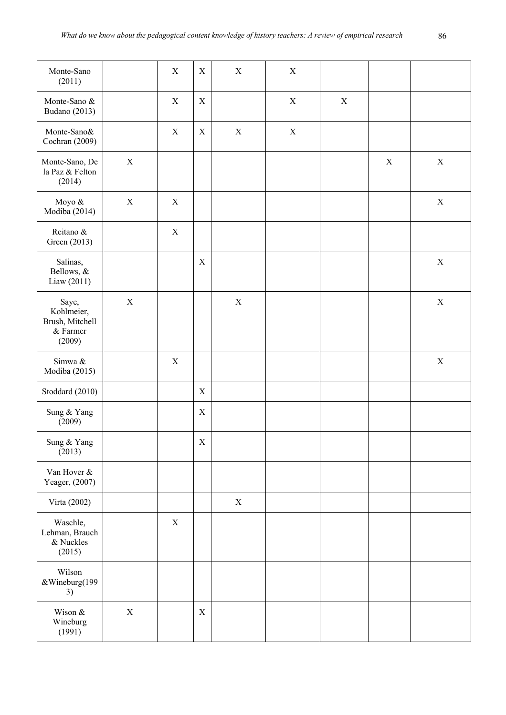| Monte-Sano<br>(2011)                                         |             | $\mathbf X$ | $\mathbf X$ | $\mathbf X$ | $\mathbf X$ |             |             |             |
|--------------------------------------------------------------|-------------|-------------|-------------|-------------|-------------|-------------|-------------|-------------|
| Monte-Sano &<br><b>Budano</b> (2013)                         |             | X           | $\mathbf X$ |             | $\mathbf X$ | $\mathbf X$ |             |             |
| Monte-Sano&<br>Cochran (2009)                                |             | $\mathbf X$ | $\mathbf X$ | $\mathbf X$ | $\mathbf X$ |             |             |             |
| Monte-Sano, De<br>la Paz & Felton<br>(2014)                  | $\mathbf X$ |             |             |             |             |             | $\mathbf X$ | $\mathbf X$ |
| Moyo &<br>Modiba (2014)                                      | $\mathbf X$ | $\mathbf X$ |             |             |             |             |             | $\mathbf X$ |
| Reitano &<br>Green (2013)                                    |             | $\mathbf X$ |             |             |             |             |             |             |
| Salinas,<br>Bellows, &<br>Liaw (2011)                        |             |             | $\mathbf X$ |             |             |             |             | $\mathbf X$ |
| Saye,<br>Kohlmeier,<br>Brush, Mitchell<br>& Farmer<br>(2009) | $\mathbf X$ |             |             | $\mathbf X$ |             |             |             | $\mathbf X$ |
| Simwa &<br>Modiba (2015)                                     |             | X           |             |             |             |             |             | $\mathbf X$ |
| Stoddard (2010)                                              |             |             | $\mathbf X$ |             |             |             |             |             |
| Sung & Yang<br>(2009)                                        |             |             | $\mathbf X$ |             |             |             |             |             |
| Sung & Yang<br>(2013)                                        |             |             | $\mathbf X$ |             |             |             |             |             |
| Van Hover &<br>Yeager, (2007)                                |             |             |             |             |             |             |             |             |
| Virta (2002)                                                 |             |             |             | $\mathbf X$ |             |             |             |             |
| Waschle,<br>Lehman, Brauch<br>& Nuckles<br>(2015)            |             | $\mathbf X$ |             |             |             |             |             |             |
| Wilson<br>&Wineburg(199<br>3)                                |             |             |             |             |             |             |             |             |
| Wison $\&$<br>Wineburg<br>(1991)                             | $\mathbf X$ |             | $\mathbf X$ |             |             |             |             |             |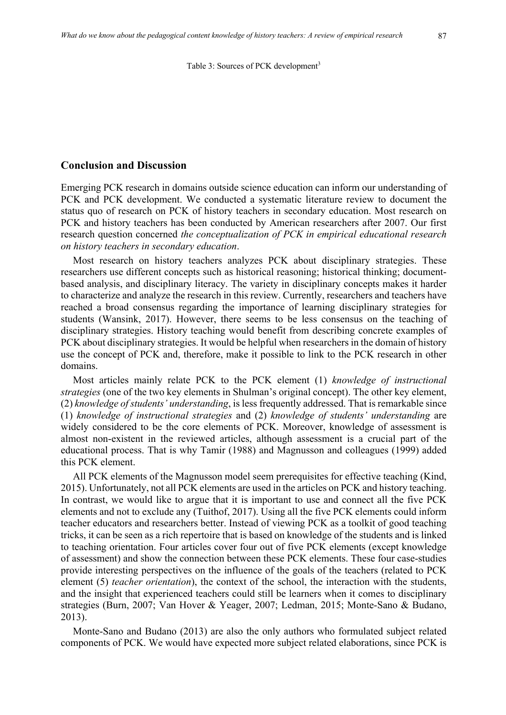Table 3: Sources of PCK development<sup>3</sup>

## **Conclusion and Discussion**

Emerging PCK research in domains outside science education can inform our understanding of PCK and PCK development. We conducted a systematic literature review to document the status quo of research on PCK of history teachers in secondary education. Most research on PCK and history teachers has been conducted by American researchers after 2007. Our first research question concerned *the conceptualization of PCK in empirical educational research on history teachers in secondary education*.

Most research on history teachers analyzes PCK about disciplinary strategies. These researchers use different concepts such as historical reasoning; historical thinking; documentbased analysis, and disciplinary literacy. The variety in disciplinary concepts makes it harder to characterize and analyze the research in this review. Currently, researchers and teachers have reached a broad consensus regarding the importance of learning disciplinary strategies for students (Wansink, 2017). However, there seems to be less consensus on the teaching of disciplinary strategies. History teaching would benefit from describing concrete examples of PCK about disciplinary strategies. It would be helpful when researchers in the domain of history use the concept of PCK and, therefore, make it possible to link to the PCK research in other domains.

Most articles mainly relate PCK to the PCK element (1) *knowledge of instructional strategies* (one of the two key elements in Shulman's original concept). The other key element, (2) *knowledge of students' understanding*, is less frequently addressed. That is remarkable since (1) *knowledge of instructional strategies* and (2) *knowledge of students' understanding* are widely considered to be the core elements of PCK. Moreover, knowledge of assessment is almost non-existent in the reviewed articles, although assessment is a crucial part of the educational process. That is why Tamir (1988) and Magnusson and colleagues (1999) added this PCK element.

All PCK elements of the Magnusson model seem prerequisites for effective teaching (Kind, 2015). Unfortunately, not all PCK elements are used in the articles on PCK and history teaching. In contrast, we would like to argue that it is important to use and connect all the five PCK elements and not to exclude any (Tuithof, 2017). Using all the five PCK elements could inform teacher educators and researchers better. Instead of viewing PCK as a toolkit of good teaching tricks, it can be seen as a rich repertoire that is based on knowledge of the students and is linked to teaching orientation. Four articles cover four out of five PCK elements (except knowledge of assessment) and show the connection between these PCK elements. These four case-studies provide interesting perspectives on the influence of the goals of the teachers (related to PCK element (5) *teacher orientation*), the context of the school, the interaction with the students, and the insight that experienced teachers could still be learners when it comes to disciplinary strategies (Burn, 2007; Van Hover & Yeager, 2007; Ledman, 2015; Monte-Sano & Budano, 2013).

Monte-Sano and Budano (2013) are also the only authors who formulated subject related components of PCK. We would have expected more subject related elaborations, since PCK is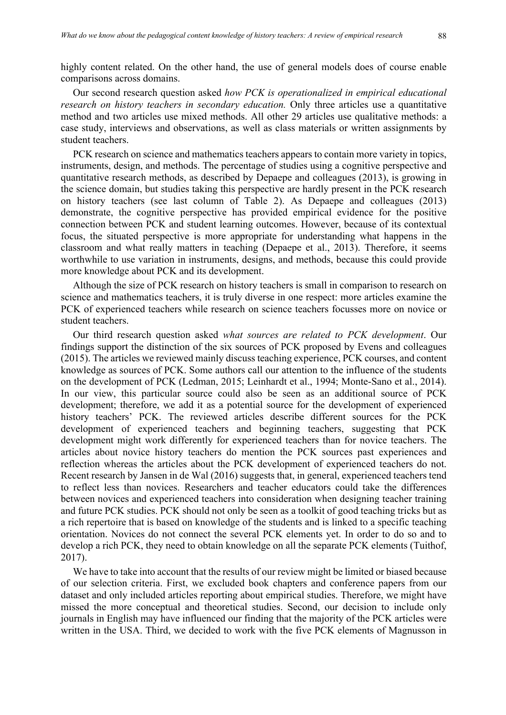highly content related. On the other hand, the use of general models does of course enable comparisons across domains.

Our second research question asked *how PCK is operationalized in empirical educational research on history teachers in secondary education.* Only three articles use a quantitative method and two articles use mixed methods. All other 29 articles use qualitative methods: a case study, interviews and observations, as well as class materials or written assignments by student teachers.

PCK research on science and mathematics teachers appears to contain more variety in topics, instruments, design, and methods. The percentage of studies using a cognitive perspective and quantitative research methods, as described by Depaepe and colleagues (2013), is growing in the science domain, but studies taking this perspective are hardly present in the PCK research on history teachers (see last column of Table 2). As Depaepe and colleagues (2013) demonstrate, the cognitive perspective has provided empirical evidence for the positive connection between PCK and student learning outcomes. However, because of its contextual focus, the situated perspective is more appropriate for understanding what happens in the classroom and what really matters in teaching (Depaepe et al., 2013). Therefore, it seems worthwhile to use variation in instruments, designs, and methods, because this could provide more knowledge about PCK and its development.

Although the size of PCK research on history teachers is small in comparison to research on science and mathematics teachers, it is truly diverse in one respect: more articles examine the PCK of experienced teachers while research on science teachers focusses more on novice or student teachers.

Our third research question asked *what sources are related to PCK development*. Our findings support the distinction of the six sources of PCK proposed by Evens and colleagues (2015). The articles we reviewed mainly discuss teaching experience, PCK courses, and content knowledge as sources of PCK. Some authors call our attention to the influence of the students on the development of PCK (Ledman, 2015; Leinhardt et al., 1994; Monte-Sano et al., 2014). In our view, this particular source could also be seen as an additional source of PCK development; therefore, we add it as a potential source for the development of experienced history teachers' PCK. The reviewed articles describe different sources for the PCK development of experienced teachers and beginning teachers, suggesting that PCK development might work differently for experienced teachers than for novice teachers. The articles about novice history teachers do mention the PCK sources past experiences and reflection whereas the articles about the PCK development of experienced teachers do not. Recent research by Jansen in de Wal (2016) suggests that, in general, experienced teachers tend to reflect less than novices. Researchers and teacher educators could take the differences between novices and experienced teachers into consideration when designing teacher training and future PCK studies. PCK should not only be seen as a toolkit of good teaching tricks but as a rich repertoire that is based on knowledge of the students and is linked to a specific teaching orientation. Novices do not connect the several PCK elements yet. In order to do so and to develop a rich PCK, they need to obtain knowledge on all the separate PCK elements (Tuithof, 2017).

We have to take into account that the results of our review might be limited or biased because of our selection criteria. First, we excluded book chapters and conference papers from our dataset and only included articles reporting about empirical studies. Therefore, we might have missed the more conceptual and theoretical studies. Second, our decision to include only journals in English may have influenced our finding that the majority of the PCK articles were written in the USA. Third, we decided to work with the five PCK elements of Magnusson in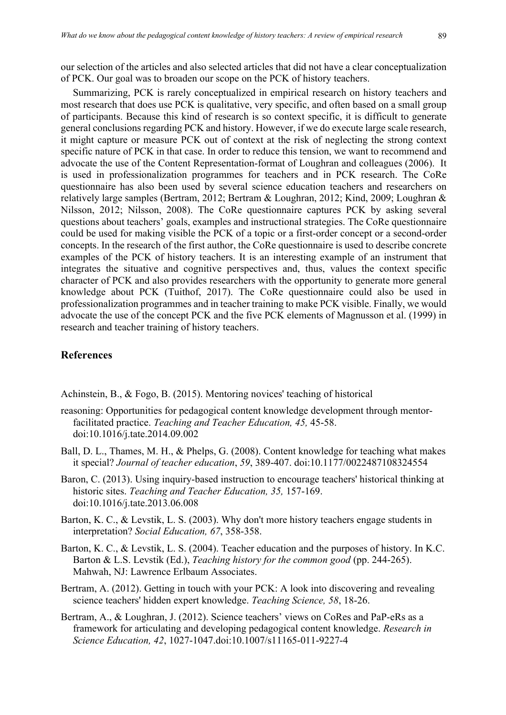our selection of the articles and also selected articles that did not have a clear conceptualization of PCK. Our goal was to broaden our scope on the PCK of history teachers.

Summarizing, PCK is rarely conceptualized in empirical research on history teachers and most research that does use PCK is qualitative, very specific, and often based on a small group of participants. Because this kind of research is so context specific, it is difficult to generate general conclusions regarding PCK and history. However, if we do execute large scale research, it might capture or measure PCK out of context at the risk of neglecting the strong context specific nature of PCK in that case. In order to reduce this tension, we want to recommend and advocate the use of the Content Representation-format of Loughran and colleagues (2006). It is used in professionalization programmes for teachers and in PCK research. The CoRe questionnaire has also been used by several science education teachers and researchers on relatively large samples (Bertram, 2012; Bertram & Loughran, 2012; Kind, 2009; Loughran & Nilsson, 2012; Nilsson, 2008). The CoRe questionnaire captures PCK by asking several questions about teachers' goals, examples and instructional strategies. The CoRe questionnaire could be used for making visible the PCK of a topic or a first-order concept or a second-order concepts. In the research of the first author, the CoRe questionnaire is used to describe concrete examples of the PCK of history teachers. It is an interesting example of an instrument that integrates the situative and cognitive perspectives and, thus, values the context specific character of PCK and also provides researchers with the opportunity to generate more general knowledge about PCK (Tuithof, 2017). The CoRe questionnaire could also be used in professionalization programmes and in teacher training to make PCK visible. Finally, we would advocate the use of the concept PCK and the five PCK elements of Magnusson et al. (1999) in research and teacher training of history teachers.

#### **References**

Achinstein, B., & Fogo, B. (2015). Mentoring novices' teaching of historical

- reasoning: Opportunities for pedagogical content knowledge development through mentorfacilitated practice. *Teaching and Teacher Education, 45,* 45-58. doi:10.1016/j.tate.2014.09.002
- Ball, D. L., Thames, M. H., & Phelps, G. (2008). Content knowledge for teaching what makes it special? *Journal of teacher education*, *59*, 389-407. doi:10.1177/0022487108324554
- Baron, C. (2013). Using inquiry-based instruction to encourage teachers' historical thinking at historic sites. *Teaching and Teacher Education, 35,* 157-169. doi:10.1016/j.tate.2013.06.008
- Barton, K. C., & Levstik, L. S. (2003). Why don't more history teachers engage students in interpretation? *Social Education, 67*, 358-358.
- Barton, K. C., & Levstik, L. S. (2004). Teacher education and the purposes of history. In K.C. Barton & L.S. Levstik (Ed.), *Teaching history for the common good* (pp. 244-265). Mahwah, NJ: Lawrence Erlbaum Associates.
- Bertram, A. (2012). Getting in touch with your PCK: A look into discovering and revealing science teachers' hidden expert knowledge. *Teaching Science, 58*, 18-26.
- Bertram, A., & Loughran, J. (2012). Science teachers' views on CoRes and PaP-eRs as a framework for articulating and developing pedagogical content knowledge. *Research in Science Education, 42*, 1027-1047.doi:10.1007/s11165-011-9227-4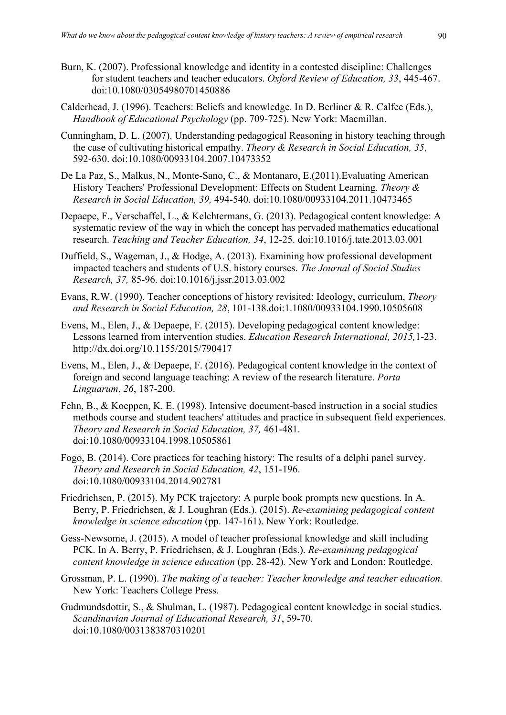- Burn, K. (2007). Professional knowledge and identity in a contested discipline: Challenges for student teachers and teacher educators. *Oxford Review of Education, 33*, 445-467. doi:10.1080/03054980701450886
- Calderhead, J. (1996). Teachers: Beliefs and knowledge. In D. Berliner & R. Calfee (Eds.), *Handbook of Educational Psychology* (pp. 709-725). New York: Macmillan.
- Cunningham, D. L. (2007). Understanding pedagogical Reasoning in history teaching through the case of cultivating historical empathy. *Theory & Research in Social Education, 35*, 592-630. doi:10.1080/00933104.2007.10473352
- De La Paz, S., Malkus, N., Monte-Sano, C., & Montanaro, E.(2011).Evaluating American History Teachers' Professional Development: Effects on Student Learning. *Theory & Research in Social Education, 39,* 494-540. doi:10.1080/00933104.2011.10473465
- Depaepe, F., Verschaffel, L., & Kelchtermans, G. (2013). Pedagogical content knowledge: A systematic review of the way in which the concept has pervaded mathematics educational research. *Teaching and Teacher Education, 34*, 12-25. doi:10.1016/j.tate.2013.03.001
- Duffield, S., Wageman, J., & Hodge, A. (2013). Examining how professional development impacted teachers and students of U.S. history courses. *The Journal of Social Studies Research, 37,* 85-96. doi:10.1016/j.jssr.2013.03.002
- Evans, R.W. (1990). Teacher conceptions of history revisited: Ideology, curriculum, *Theory and Research in Social Education, 28*, 101-138.doi:1.1080/00933104.1990.10505608
- Evens, M., Elen, J., & Depaepe, F. (2015). Developing pedagogical content knowledge: Lessons learned from intervention studies. *Education Research International, 2015,*1-23. http://dx.doi.org/10.1155/2015/790417
- Evens, M., Elen, J., & Depaepe, F. (2016). Pedagogical content knowledge in the context of foreign and second language teaching: A review of the research literature. *Porta Linguarum*, *26*, 187-200.
- Fehn, B., & Koeppen, K. E. (1998). Intensive document-based instruction in a social studies methods course and student teachers' attitudes and practice in subsequent field experiences. *Theory and Research in Social Education, 37,* 461-481. doi:10.1080/00933104.1998.10505861
- Fogo, B. (2014). Core practices for teaching history: The results of a delphi panel survey. *Theory and Research in Social Education, 42*, 151-196. doi:10.1080/00933104.2014.902781
- Friedrichsen, P. (2015). My PCK trajectory: A purple book prompts new questions. In A. Berry, P. Friedrichsen, & J. Loughran (Eds.). (2015). *Re-examining pedagogical content knowledge in science education* (pp. 147-161). New York: Routledge.
- Gess-Newsome, J. (2015). A model of teacher professional knowledge and skill including PCK. In A. Berry, P. Friedrichsen, & J. Loughran (Eds.). *Re-examining pedagogical content knowledge in science education* (pp. 28-42). New York and London: Routledge.
- Grossman, P. L. (1990). *The making of a teacher: Teacher knowledge and teacher education.*  New York: Teachers College Press.
- Gudmundsdottir, S., & Shulman, L. (1987). Pedagogical content knowledge in social studies. *Scandinavian Journal of Educational Research, 31*, 59-70. doi:10.1080/0031383870310201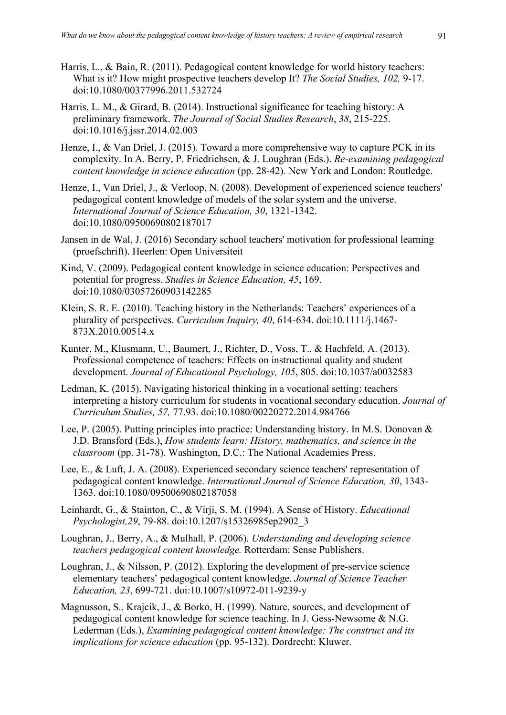- Harris, L., & Bain, R. (2011). Pedagogical content knowledge for world history teachers: What is it? How might prospective teachers develop It? *The Social Studies, 102,* 9-17. doi:10.1080/00377996.2011.532724
- Harris, L. M., & Girard, B. (2014). Instructional significance for teaching history: A preliminary framework. *The Journal of Social Studies Research*, *38*, 215-225. doi:10.1016/j.jssr.2014.02.003
- Henze, I., & Van Driel, J. (2015). Toward a more comprehensive way to capture PCK in its complexity. In A. Berry, P. Friedrichsen, & J. Loughran (Eds.). *Re-examining pedagogical content knowledge in science education* (pp. 28-42). New York and London: Routledge.
- Henze, I., Van Driel, J., & Verloop, N. (2008). Development of experienced science teachers' pedagogical content knowledge of models of the solar system and the universe. *International Journal of Science Education, 30*, 1321-1342. doi:10.1080/09500690802187017
- Jansen in de Wal, J. (2016) Secondary school teachers' motivation for professional learning (proefschrift). Heerlen: Open Universiteit
- Kind, V. (2009). Pedagogical content knowledge in science education: Perspectives and potential for progress. *Studies in Science Education, 45*, 169. doi:10.1080/03057260903142285
- Klein, S. R. E. (2010). Teaching history in the Netherlands: Teachers' experiences of a plurality of perspectives. *Curriculum Inquiry, 40*, 614-634. doi:10.1111/j.1467- 873X.2010.00514.x
- Kunter, M., Klusmann, U., Baumert, J., Richter, D., Voss, T., & Hachfeld, A. (2013). Professional competence of teachers: Effects on instructional quality and student development. *Journal of Educational Psychology, 105*, 805. doi:10.1037/a0032583
- Ledman, K. (2015). Navigating historical thinking in a vocational setting: teachers interpreting a history curriculum for students in vocational secondary education. *Journal of Curriculum Studies, 57,* 77.93. doi:10.1080/00220272.2014.984766
- Lee, P. (2005). Putting principles into practice: Understanding history. In M.S. Donovan & J.D. Bransford (Eds.), *How students learn: History, mathematics, and science in the classroom* (pp. 31-78). Washington, D.C.: The National Academies Press.
- Lee, E., & Luft, J. A. (2008). Experienced secondary science teachers' representation of pedagogical content knowledge. *International Journal of Science Education, 30*, 1343- 1363. doi:10.1080/09500690802187058
- Leinhardt, G., & Stainton, C., & Virji, S. M. (1994). A Sense of History. *Educational Psychologist,29*, 79-88. doi:10.1207/s15326985ep2902\_3
- Loughran, J., Berry, A., & Mulhall, P. (2006). *Understanding and developing science teachers pedagogical content knowledge.* Rotterdam: Sense Publishers.
- Loughran, J., & Nilsson, P. (2012). Exploring the development of pre-service science elementary teachers' pedagogical content knowledge. *Journal of Science Teacher Education, 23*, 699-721. doi:10.1007/s10972-011-9239-y
- Magnusson, S., Krajcik, J., & Borko, H. (1999). Nature, sources, and development of pedagogical content knowledge for science teaching. In J. Gess-Newsome & N.G. Lederman (Eds.), *Examining pedagogical content knowledge: The construct and its implications for science education* (pp. 95-132). Dordrecht: Kluwer.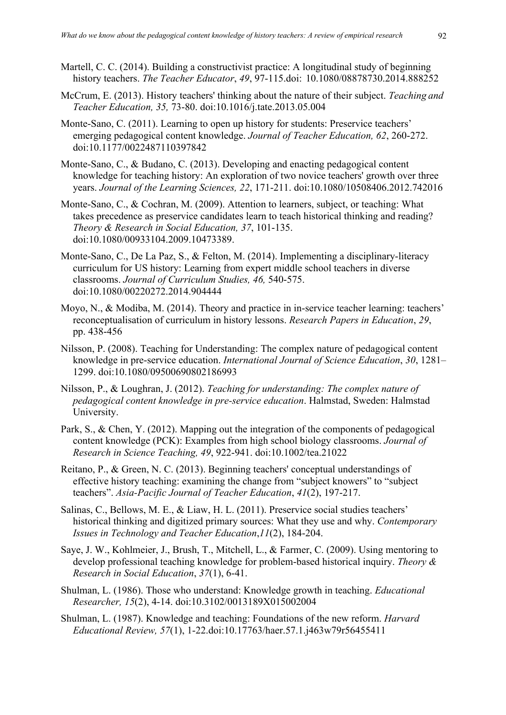- Martell, C. C. (2014). Building a constructivist practice: A longitudinal study of beginning history teachers. *The Teacher Educator*, *49*, 97-115.doi: 10.1080/08878730.2014.888252
- McCrum, E. (2013). History teachers' thinking about the nature of their subject. *Teaching and Teacher Education, 35,* 73-80. doi:10.1016/j.tate.2013.05.004
- Monte-Sano, C. (2011). Learning to open up history for students: Preservice teachers' emerging pedagogical content knowledge. *Journal of Teacher Education, 62*, 260-272. doi:10.1177/0022487110397842
- Monte-Sano, C., & Budano, C. (2013). Developing and enacting pedagogical content knowledge for teaching history: An exploration of two novice teachers' growth over three years. *Journal of the Learning Sciences, 22*, 171-211. doi:10.1080/10508406.2012.742016
- Monte-Sano, C., & Cochran, M. (2009). Attention to learners, subject, or teaching: What takes precedence as preservice candidates learn to teach historical thinking and reading? *Theory & Research in Social Education, 37*, 101-135. doi:10.1080/00933104.2009.10473389.
- Monte-Sano, C., De La Paz, S., & Felton, M. (2014). Implementing a disciplinary-literacy curriculum for US history: Learning from expert middle school teachers in diverse classrooms. *Journal of Curriculum Studies, 46,* 540-575. doi:10.1080/00220272.2014.904444
- Moyo, N., & Modiba, M. (2014). Theory and practice in in-service teacher learning: teachers' reconceptualisation of curriculum in history lessons. *Research Papers in Education*, *29*, pp. 438-456
- Nilsson, P. (2008). Teaching for Understanding: The complex nature of pedagogical content knowledge in pre‐service education. *International Journal of Science Education*, *30*, 1281– 1299. doi:10.1080/09500690802186993
- Nilsson, P., & Loughran, J. (2012). *Teaching for understanding: The complex nature of pedagogical content knowledge in pre-service education*. Halmstad, Sweden: Halmstad University.
- Park, S., & Chen, Y. (2012). Mapping out the integration of the components of pedagogical content knowledge (PCK): Examples from high school biology classrooms. *Journal of Research in Science Teaching, 49*, 922-941. doi:10.1002/tea.21022
- Reitano, P., & Green, N. C. (2013). Beginning teachers' conceptual understandings of effective history teaching: examining the change from "subject knowers" to "subject teachers". *Asia-Pacific Journal of Teacher Education*, *41*(2), 197-217.
- Salinas, C., Bellows, M. E., & Liaw, H. L. (2011). Preservice social studies teachers' historical thinking and digitized primary sources: What they use and why. *Contemporary Issues in Technology and Teacher Education*,*11*(2), 184-204.
- Saye, J. W., Kohlmeier, J., Brush, T., Mitchell, L., & Farmer, C. (2009). Using mentoring to develop professional teaching knowledge for problem-based historical inquiry. *Theory & Research in Social Education*, *37*(1), 6-41.
- Shulman, L. (1986). Those who understand: Knowledge growth in teaching. *Educational Researcher, 15*(2), 4-14. doi:10.3102/0013189X015002004
- Shulman, L. (1987). Knowledge and teaching: Foundations of the new reform. *Harvard Educational Review, 57*(1), 1-22.doi:10.17763/haer.57.1.j463w79r56455411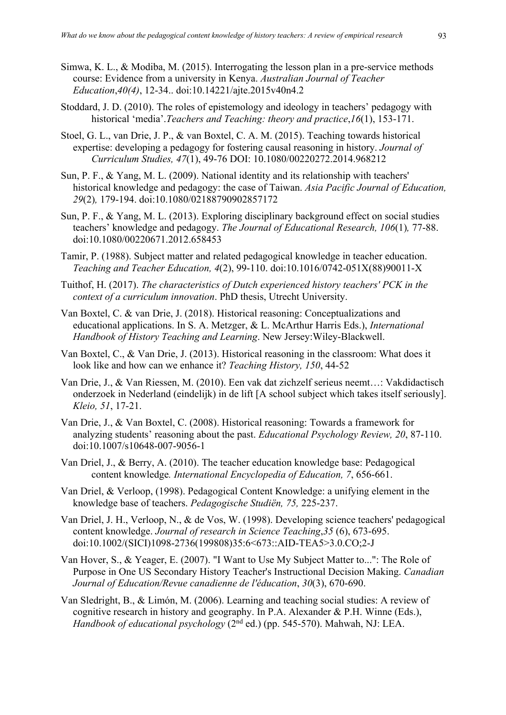- Simwa, K. L., & Modiba, M. (2015). Interrogating the lesson plan in a pre-service methods course: Evidence from a university in Kenya. *Australian Journal of Teacher Education*,*40(4)*, 12-34.. doi:10.14221/ajte.2015v40n4.2
- Stoddard, J. D. (2010). The roles of epistemology and ideology in teachers' pedagogy with historical 'media'.*Teachers and Teaching: theory and practice*,*16*(1), 153-171.
- Stoel, G. L., van Drie, J. P., & van Boxtel, C. A. M. (2015). Teaching towards historical expertise: developing a pedagogy for fostering causal reasoning in history. *Journal of Curriculum Studies, 47*(1), 49-76 DOI: 10.1080/00220272.2014.968212
- Sun, P. F., & Yang, M. L. (2009). National identity and its relationship with teachers' historical knowledge and pedagogy: the case of Taiwan. *Asia Pacific Journal of Education, 29*(2)*,* 179-194. doi:10.1080/02188790902857172
- Sun, P. F., & Yang, M. L. (2013). Exploring disciplinary background effect on social studies teachers' knowledge and pedagogy. *The Journal of Educational Research, 106*(1)*,* 77-88. doi:10.1080/00220671.2012.658453
- Tamir, P. (1988). Subject matter and related pedagogical knowledge in teacher education. *Teaching and Teacher Education, 4*(2), 99-110. doi:10.1016/0742-051X(88)90011-X
- Tuithof, H. (2017). *The characteristics of Dutch experienced history teachers' PCK in the context of a curriculum innovation*. PhD thesis, Utrecht University.
- Van Boxtel, C. & van Drie, J. (2018). Historical reasoning: Conceptualizations and educational applications. In S. A. Metzger, & L. McArthur Harris Eds.), *International Handbook of History Teaching and Learning*. New Jersey:Wiley-Blackwell.
- Van Boxtel, C., & Van Drie, J. (2013). Historical reasoning in the classroom: What does it look like and how can we enhance it? *Teaching History, 150*, 44-52
- Van Drie, J., & Van Riessen, M. (2010). Een vak dat zichzelf serieus neemt…: Vakdidactisch onderzoek in Nederland (eindelijk) in de lift [A school subject which takes itself seriously]. *Kleio, 51*, 17-21.
- Van Drie, J., & Van Boxtel, C. (2008). Historical reasoning: Towards a framework for analyzing students' reasoning about the past. *Educational Psychology Review, 20*, 87-110. doi:10.1007/s10648-007-9056-1
- Van Driel, J., & Berry, A. (2010). The teacher education knowledge base: Pedagogical content knowledge*. International Encyclopedia of Education, 7*, 656-661.
- Van Driel, & Verloop, (1998). Pedagogical Content Knowledge: a unifying element in the knowledge base of teachers. *Pedagogische Studiën, 75,* 225-237.
- Van Driel, J. H., Verloop, N., & de Vos, W. (1998). Developing science teachers' pedagogical content knowledge. *Journal of research in Science Teaching*,*35* (6), 673-695. doi:10.1002/(SICI)1098-2736(199808)35:6<673::AID-TEA5>3.0.CO;2-J
- Van Hover, S., & Yeager, E. (2007). "I Want to Use My Subject Matter to...": The Role of Purpose in One US Secondary History Teacher's Instructional Decision Making. *Canadian Journal of Education/Revue canadienne de l'éducation*, *30*(3), 670-690.
- Van Sledright, B., & Limón, M. (2006). Learning and teaching social studies: A review of cognitive research in history and geography. In P.A. Alexander & P.H. Winne (Eds.), *Handbook of educational psychology* (2nd ed.) (pp. 545-570). Mahwah, NJ: LEA.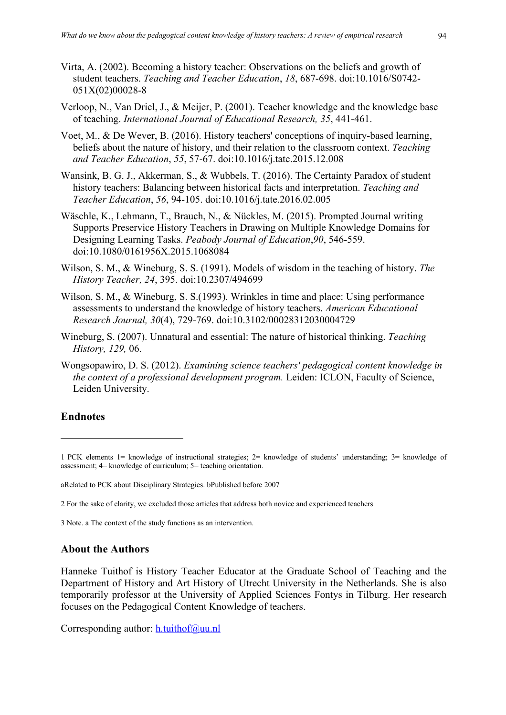- Virta, A. (2002). Becoming a history teacher: Observations on the beliefs and growth of student teachers. *Teaching and Teacher Education*, *18*, 687-698. doi:10.1016/S0742- 051X(02)00028-8
- Verloop, N., Van Driel, J., & Meijer, P. (2001). Teacher knowledge and the knowledge base of teaching. *International Journal of Educational Research, 35*, 441-461.
- Voet, M., & De Wever, B. (2016). History teachers' conceptions of inquiry-based learning, beliefs about the nature of history, and their relation to the classroom context. *Teaching and Teacher Education*, *55*, 57-67. doi:10.1016/j.tate.2015.12.008
- Wansink, B. G. J., Akkerman, S., & Wubbels, T. (2016). The Certainty Paradox of student history teachers: Balancing between historical facts and interpretation. *Teaching and Teacher Education*, *56*, 94-105. doi:10.1016/j.tate.2016.02.005
- Wäschle, K., Lehmann, T., Brauch, N., & Nückles, M. (2015). Prompted Journal writing Supports Preservice History Teachers in Drawing on Multiple Knowledge Domains for Designing Learning Tasks. *Peabody Journal of Education*,*90*, 546-559. doi:10.1080/0161956X.2015.1068084
- Wilson, S. M., & Wineburg, S. S. (1991). Models of wisdom in the teaching of history. *The History Teacher, 24*, 395. doi:10.2307/494699
- Wilson, S. M., & Wineburg, S. S.(1993). Wrinkles in time and place: Using performance assessments to understand the knowledge of history teachers. *American Educational Research Journal, 30*(4), 729-769. doi:10.3102/00028312030004729
- Wineburg, S. (2007). Unnatural and essential: The nature of historical thinking. *Teaching History, 129,* 06.
- Wongsopawiro, D. S. (2012). *Examining science teachers' pedagogical content knowledge in the context of a professional development program.* Leiden: ICLON, Faculty of Science, Leiden University.

### **Endnotes**

#### **About the Authors**

Hanneke Tuithof is History Teacher Educator at the Graduate School of Teaching and the Department of History and Art History of Utrecht University in the Netherlands. She is also temporarily professor at the University of Applied Sciences Fontys in Tilburg. Her research focuses on the Pedagogical Content Knowledge of teachers.

Corresponding author:  $h.tuithof@uu.nl$ 

<sup>1</sup> PCK elements 1= knowledge of instructional strategies; 2= knowledge of students' understanding; 3= knowledge of assessment; 4= knowledge of curriculum; 5= teaching orientation.

aRelated to PCK about Disciplinary Strategies. bPublished before 2007

<sup>2</sup> For the sake of clarity, we excluded those articles that address both novice and experienced teachers

<sup>3</sup> Note. a The context of the study functions as an intervention.